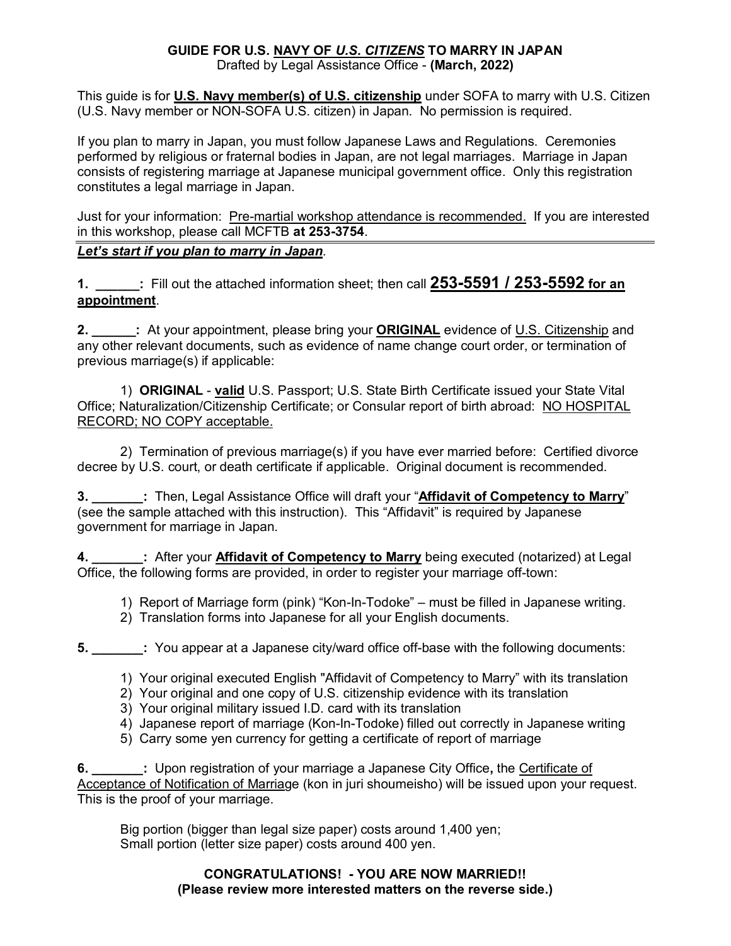## **GUIDE FOR U.S. NAVY OF** *U.S. CITIZENS* **TO MARRY IN JAPAN**

Drafted by Legal Assistance Office - **(March, 2022)**

This guide is for **U.S. Navy member(s) of U.S. citizenship** under SOFA to marry with U.S. Citizen (U.S. Navy member or NON-SOFA U.S. citizen) in Japan. No permission is required.

If you plan to marry in Japan, you must follow Japanese Laws and Regulations. Ceremonies performed by religious or fraternal bodies in Japan, are not legal marriages. Marriage in Japan consists of registering marriage at Japanese municipal government office. Only this registration constitutes a legal marriage in Japan.

Just for your information: Pre-martial workshop attendance is recommended. If you are interested in this workshop, please call MCFTB **at 253-3754**.

## *Let's start if you plan to marry in Japan*.

**1. \_\_\_\_\_\_:** Fill out the attached information sheet; then call **253-5591 / 253-5592 for an appointment**.

**2. \_\_\_\_\_\_:** At your appointment, please bring your **ORIGINAL** evidence of U.S. Citizenship and any other relevant documents, such as evidence of name change court order, or termination of previous marriage(s) if applicable:

1) **ORIGINAL** - **valid** U.S. Passport; U.S. State Birth Certificate issued your State Vital Office; Naturalization/Citizenship Certificate; or Consular report of birth abroad: NO HOSPITAL RECORD; NO COPY acceptable.

2) Termination of previous marriage(s) if you have ever married before: Certified divorce decree by U.S. court, or death certificate if applicable. Original document is recommended.

**3. \_\_\_\_\_\_\_:** Then, Legal Assistance Office will draft your "**Affidavit of Competency to Marry**" (see the sample attached with this instruction). This "Affidavit" is required by Japanese government for marriage in Japan.

**4. After your Affidavit of Competency to Marry** being executed (notarized) at Legal Office, the following forms are provided, in order to register your marriage off-town:

- 1) Report of Marriage form (pink) "Kon-In-Todoke" must be filled in Japanese writing.
- 2) Translation forms into Japanese for all your English documents.

**5. 1.** You appear at a Japanese city/ward office off-base with the following documents:

- 1) Your original executed English "Affidavit of Competency to Marry" with its translation
- 2) Your original and one copy of U.S. citizenship evidence with its translation
- 3) Your original military issued I.D. card with its translation
- 4) Japanese report of marriage (Kon-In-Todoke) filled out correctly in Japanese writing
- 5) Carry some yen currency for getting a certificate of report of marriage

**6. \_\_\_\_\_\_\_:** Upon registration of your marriage a Japanese City Office**,** the Certificate of Acceptance of Notification of Marriage (kon in juri shoumeisho) will be issued upon your request. This is the proof of your marriage.

Big portion (bigger than legal size paper) costs around 1,400 yen; Small portion (letter size paper) costs around 400 yen.

#### **CONGRATULATIONS! - YOU ARE NOW MARRIED!! (Please review more interested matters on the reverse side.)**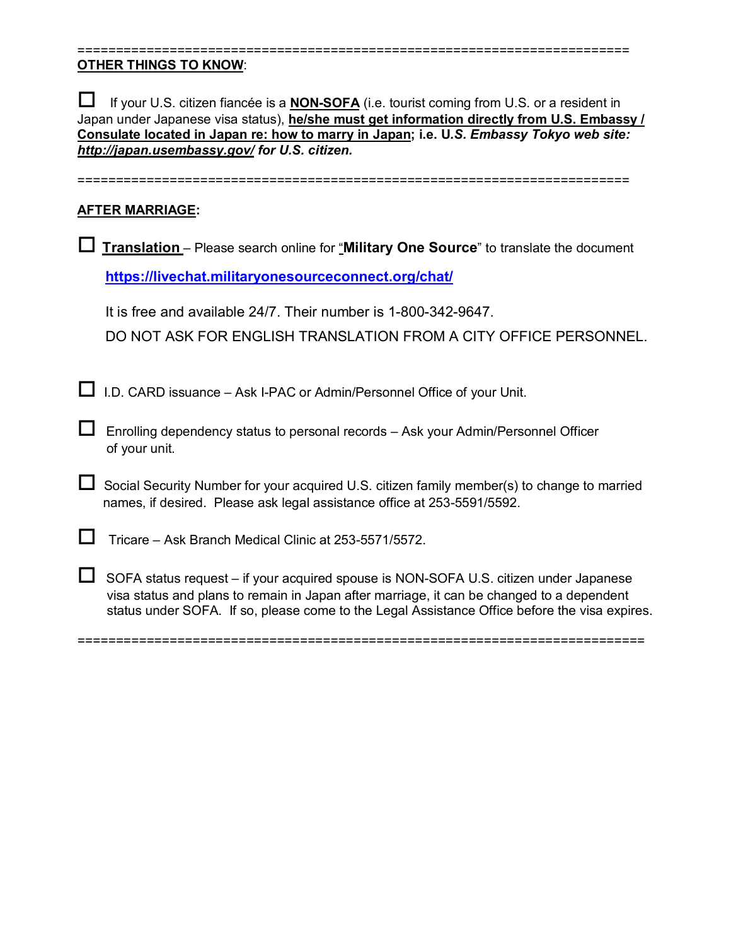## **OTHER THINGS TO KNOW**:

 If your U.S. citizen fiancée is a **NON-SOFA** (i.e. tourist coming from U.S. or a resident in Japan under Japanese visa status), **he/she must get information directly from U.S. Embassy / Consulate located in Japan re: how to marry in Japan; i.e. U***.S. Embassy Tokyo web site: <http://japan.usembassy.gov/> for U.S. citizen.* 

========================================================================

========================================================================

## **AFTER MARRIAGE:**

| Translation - Please search online for "Military One Source" to translate the document |                                                                                                                                                                                                                                                                                     |  |  |  |  |
|----------------------------------------------------------------------------------------|-------------------------------------------------------------------------------------------------------------------------------------------------------------------------------------------------------------------------------------------------------------------------------------|--|--|--|--|
|                                                                                        | https://livechat.militaryonesourceconnect.org/chat/                                                                                                                                                                                                                                 |  |  |  |  |
|                                                                                        | It is free and available 24/7. Their number is 1-800-342-9647.<br>DO NOT ASK FOR ENGLISH TRANSLATION FROM A CITY OFFICE PERSONNEL.                                                                                                                                                  |  |  |  |  |
|                                                                                        | I.D. CARD issuance - Ask I-PAC or Admin/Personnel Office of your Unit.                                                                                                                                                                                                              |  |  |  |  |
|                                                                                        | Enrolling dependency status to personal records - Ask your Admin/Personnel Officer<br>of your unit.                                                                                                                                                                                 |  |  |  |  |
|                                                                                        | Social Security Number for your acquired U.S. citizen family member(s) to change to married<br>names, if desired. Please ask legal assistance office at 253-5591/5592.                                                                                                              |  |  |  |  |
|                                                                                        | Tricare – Ask Branch Medical Clinic at 253-5571/5572.                                                                                                                                                                                                                               |  |  |  |  |
|                                                                                        | SOFA status request – if your acquired spouse is NON-SOFA U.S. citizen under Japanese<br>visa status and plans to remain in Japan after marriage, it can be changed to a dependent<br>status under SOFA. If so, please come to the Legal Assistance Office before the visa expires. |  |  |  |  |

==========================================================================